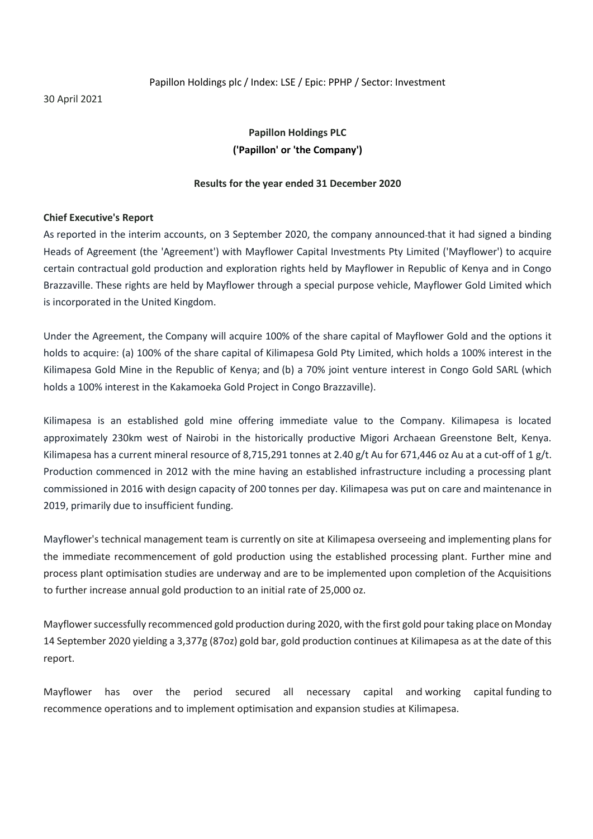30 April 2021

#### Papillon Holdings plc / Index: LSE / Epic: PPHP / Sector: Investment

## **Papillon Holdings PLC ('Papillon' or 'the Company')**

#### **Results for the year ended 31 December 2020**

#### **Chief Executive's Report**

As reported in the interim accounts, on 3 September 2020, the company announced that it had signed a binding Heads of Agreement (the 'Agreement') with Mayflower Capital Investments Pty Limited ('Mayflower') to acquire certain contractual gold production and exploration rights held by Mayflower in Republic of Kenya and in Congo Brazzaville. These rights are held by Mayflower through a special purpose vehicle, Mayflower Gold Limited which is incorporated in the United Kingdom.

Under the Agreement, the Company will acquire 100% of the share capital of Mayflower Gold and the options it holds to acquire: (a) 100% of the share capital of Kilimapesa Gold Pty Limited, which holds a 100% interest in the Kilimapesa Gold Mine in the Republic of Kenya; and (b) a 70% joint venture interest in Congo Gold SARL (which holds a 100% interest in the Kakamoeka Gold Project in Congo Brazzaville).

Kilimapesa is an established gold mine offering immediate value to the Company. Kilimapesa is located approximately 230km west of Nairobi in the historically productive Migori Archaean Greenstone Belt, Kenya. Kilimapesa has a current mineral resource of 8,715,291 tonnes at 2.40 g/t Au for 671,446 oz Au at a cut-off of 1 g/t. Production commenced in 2012 with the mine having an established infrastructure including a processing plant commissioned in 2016 with design capacity of 200 tonnes per day. Kilimapesa was put on care and maintenance in 2019, primarily due to insufficient funding.

Mayflower's technical management team is currently on site at Kilimapesa overseeing and implementing plans for the immediate recommencement of gold production using the established processing plant. Further mine and process plant optimisation studies are underway and are to be implemented upon completion of the Acquisitions to further increase annual gold production to an initial rate of 25,000 oz.

Mayflower successfully recommenced gold production during 2020, with the first gold pour taking place on Monday 14 September 2020 yielding a 3,377g (87oz) gold bar, gold production continues at Kilimapesa as at the date of this report.

Mayflower has over the period secured all necessary capital and working capital funding to recommence operations and to implement optimisation and expansion studies at Kilimapesa.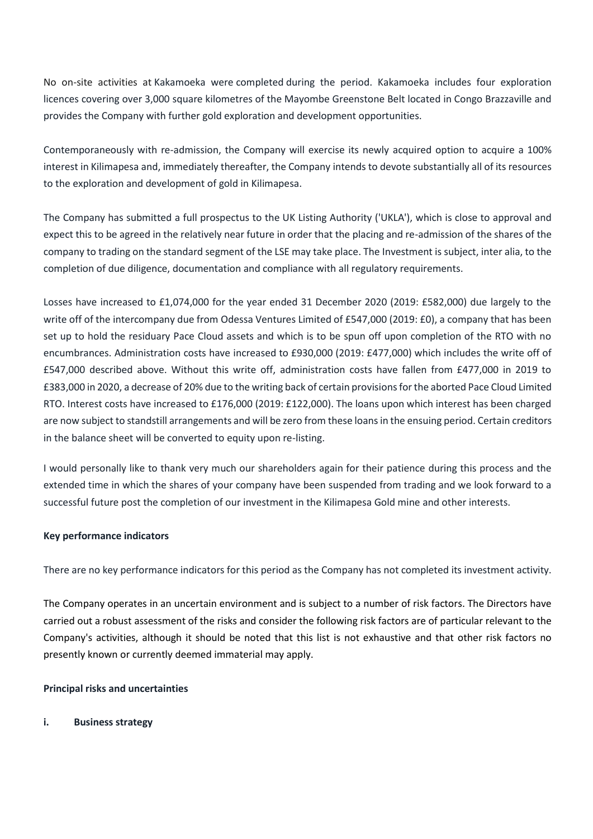No on-site activities at Kakamoeka were completed during the period. Kakamoeka includes four exploration licences covering over 3,000 square kilometres of the Mayombe Greenstone Belt located in Congo Brazzaville and provides the Company with further gold exploration and development opportunities.

Contemporaneously with re-admission, the Company will exercise its newly acquired option to acquire a 100% interest in Kilimapesa and, immediately thereafter, the Company intends to devote substantially all of its resources to the exploration and development of gold in Kilimapesa.

The Company has submitted a full prospectus to the UK Listing Authority ('UKLA'), which is close to approval and expect this to be agreed in the relatively near future in order that the placing and re-admission of the shares of the company to trading on the standard segment of the LSE may take place. The Investment is subject, inter alia, to the completion of due diligence, documentation and compliance with all regulatory requirements.

Losses have increased to £1,074,000 for the year ended 31 December 2020 (2019: £582,000) due largely to the write off of the intercompany due from Odessa Ventures Limited of £547,000 (2019: £0), a company that has been set up to hold the residuary Pace Cloud assets and which is to be spun off upon completion of the RTO with no encumbrances. Administration costs have increased to £930,000 (2019: £477,000) which includes the write off of £547,000 described above. Without this write off, administration costs have fallen from £477,000 in 2019 to £383,000 in 2020, a decrease of 20% due to the writing back of certain provisions for the aborted Pace Cloud Limited RTO. Interest costs have increased to £176,000 (2019: £122,000). The loans upon which interest has been charged are now subject to standstill arrangements and will be zero from these loans in the ensuing period. Certain creditors in the balance sheet will be converted to equity upon re-listing.

I would personally like to thank very much our shareholders again for their patience during this process and the extended time in which the shares of your company have been suspended from trading and we look forward to a successful future post the completion of our investment in the Kilimapesa Gold mine and other interests.

## **Key performance indicators**

There are no key performance indicators for this period as the Company has not completed its investment activity.

The Company operates in an uncertain environment and is subject to a number of risk factors. The Directors have carried out a robust assessment of the risks and consider the following risk factors are of particular relevant to the Company's activities, although it should be noted that this list is not exhaustive and that other risk factors no presently known or currently deemed immaterial may apply.

#### **Principal risks and uncertainties**

## **i. Business strategy**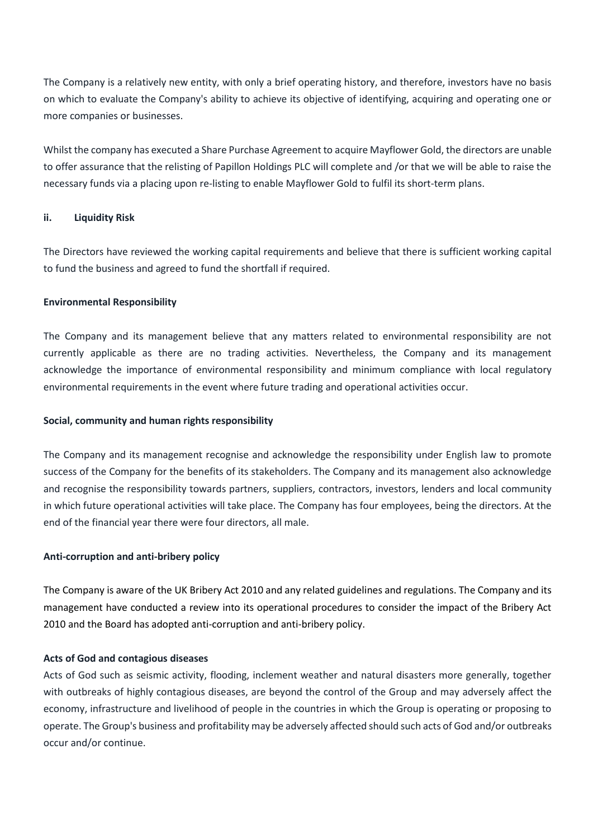The Company is a relatively new entity, with only a brief operating history, and therefore, investors have no basis on which to evaluate the Company's ability to achieve its objective of identifying, acquiring and operating one or more companies or businesses.

Whilst the company has executed a Share Purchase Agreement to acquire Mayflower Gold, the directors are unable to offer assurance that the relisting of Papillon Holdings PLC will complete and /or that we will be able to raise the necessary funds via a placing upon re-listing to enable Mayflower Gold to fulfil its short-term plans.

### **ii. Liquidity Risk**

The Directors have reviewed the working capital requirements and believe that there is sufficient working capital to fund the business and agreed to fund the shortfall if required.

#### **Environmental Responsibility**

The Company and its management believe that any matters related to environmental responsibility are not currently applicable as there are no trading activities. Nevertheless, the Company and its management acknowledge the importance of environmental responsibility and minimum compliance with local regulatory environmental requirements in the event where future trading and operational activities occur.

#### **Social, community and human rights responsibility**

The Company and its management recognise and acknowledge the responsibility under English law to promote success of the Company for the benefits of its stakeholders. The Company and its management also acknowledge and recognise the responsibility towards partners, suppliers, contractors, investors, lenders and local community in which future operational activities will take place. The Company has four employees, being the directors. At the end of the financial year there were four directors, all male.

#### **Anti-corruption and anti-bribery policy**

The Company is aware of the UK Bribery Act 2010 and any related guidelines and regulations. The Company and its management have conducted a review into its operational procedures to consider the impact of the Bribery Act 2010 and the Board has adopted anti-corruption and anti-bribery policy.

#### **Acts of God and contagious diseases**

Acts of God such as seismic activity, flooding, inclement weather and natural disasters more generally, together with outbreaks of highly contagious diseases, are beyond the control of the Group and may adversely affect the economy, infrastructure and livelihood of people in the countries in which the Group is operating or proposing to operate. The Group's business and profitability may be adversely affected should such acts of God and/or outbreaks occur and/or continue.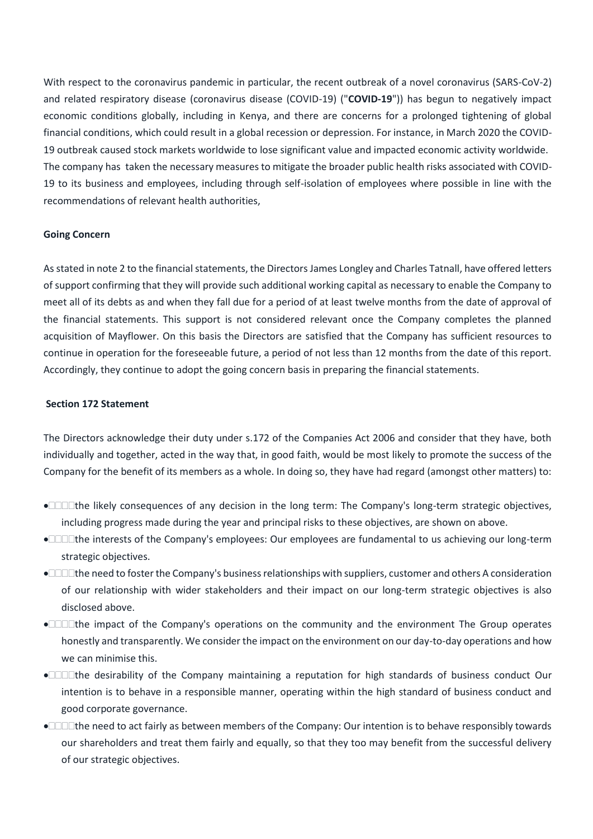With respect to the coronavirus pandemic in particular, the recent outbreak of a novel coronavirus (SARS-CoV-2) and related respiratory disease (coronavirus disease (COVID-19) ("**COVID-19**")) has begun to negatively impact economic conditions globally, including in Kenya, and there are concerns for a prolonged tightening of global financial conditions, which could result in a global recession or depression. For instance, in March 2020 the COVID-19 outbreak caused stock markets worldwide to lose significant value and impacted economic activity worldwide. The company has taken the necessary measures to mitigate the broader public health risks associated with COVID-19 to its business and employees, including through self-isolation of employees where possible in line with the recommendations of relevant health authorities,

#### **Going Concern**

As stated in note 2 to the financial statements, the Directors James Longley and Charles Tatnall, have offered letters of support confirming that they will provide such additional working capital as necessary to enable the Company to meet all of its debts as and when they fall due for a period of at least twelve months from the date of approval of the financial statements. This support is not considered relevant once the Company completes the planned acquisition of Mayflower. On this basis the Directors are satisfied that the Company has sufficient resources to continue in operation for the foreseeable future, a period of not less than 12 months from the date of this report. Accordingly, they continue to adopt the going concern basis in preparing the financial statements.

### **Section 172 Statement**

The Directors acknowledge their duty under s.172 of the Companies Act 2006 and consider that they have, both individually and together, acted in the way that, in good faith, would be most likely to promote the success of the Company for the benefit of its members as a whole. In doing so, they have had regard (amongst other matters) to:

- **•**  $\Box$  The likely consequences of any decision in the long term: The Company's long-term strategic objectives, including progress made during the year and principal risks to these objectives, are shown on above.
- •□□□the interests of the Company's employees: Our employees are fundamental to us achieving our long-term strategic objectives.
- •□□□the need to foster the Company's business relationships with suppliers, customer and others A consideration of our relationship with wider stakeholders and their impact on our long-term strategic objectives is also disclosed above.
- • $\Box$  $\Box$ The impact of the Company's operations on the community and the environment The Group operates honestly and transparently. We consider the impact on the environment on our day-to-day operations and how we can minimise this.
- • $□□□$ the desirability of the Company maintaining a reputation for high standards of business conduct Our intention is to behave in a responsible manner, operating within the high standard of business conduct and good corporate governance.
- •□□□the need to act fairly as between members of the Company: Our intention is to behave responsibly towards our shareholders and treat them fairly and equally, so that they too may benefit from the successful delivery of our strategic objectives.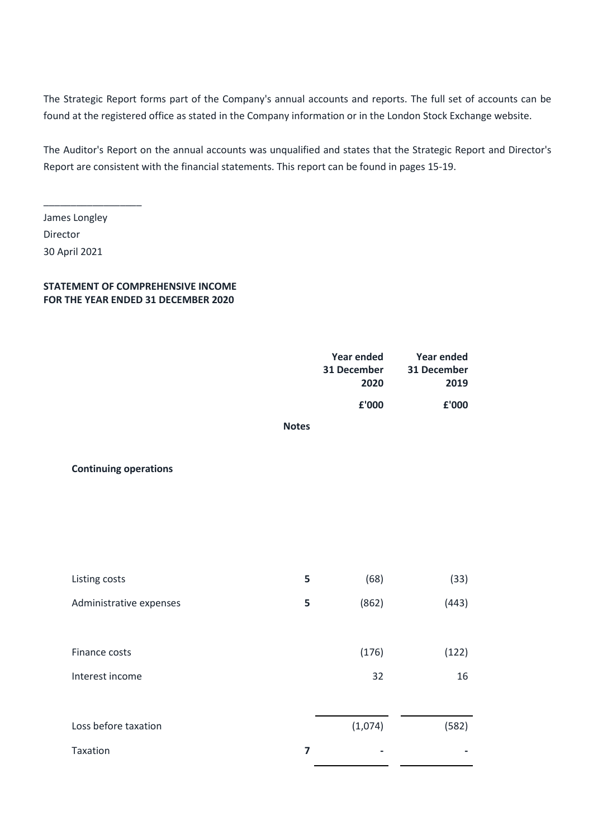The Strategic Report forms part of the Company's annual accounts and reports. The full set of accounts can be found at the registered office as stated in the Company information or in the London Stock Exchange website.

The Auditor's Report on the annual accounts was unqualified and states that the Strategic Report and Director's Report are consistent with the financial statements. This report can be found in pages 15-19.

James Longley Director 30 April 2021

\_\_\_\_\_\_\_\_\_\_\_\_\_\_\_\_\_\_

#### **STATEMENT OF COMPREHENSIVE INCOME FOR THE YEAR ENDED 31 DECEMBER 2020**

|                              |              | <b>Year ended</b><br>31 December<br>2020 | Year ended<br>31 December<br>2019 |
|------------------------------|--------------|------------------------------------------|-----------------------------------|
|                              |              | £'000                                    | £'000                             |
|                              | <b>Notes</b> |                                          |                                   |
| <b>Continuing operations</b> |              |                                          |                                   |

| Listing costs           | 5 | (68)    | (33)  |
|-------------------------|---|---------|-------|
| Administrative expenses | 5 | (862)   | (443) |
| Finance costs           |   | (176)   | (122) |
| Interest income         |   | 32      | 16    |
|                         |   |         |       |
| Loss before taxation    |   | (1,074) | (582) |
| Taxation                | 7 |         |       |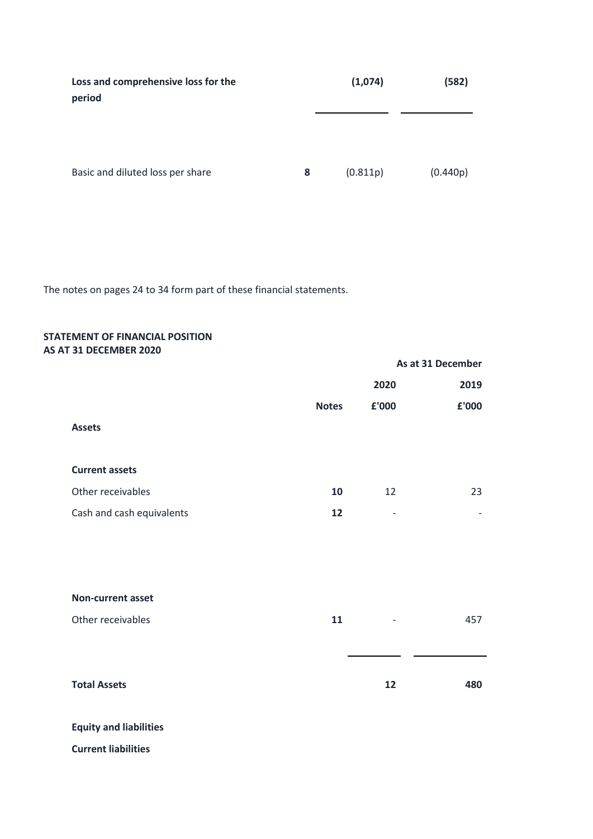| Loss and comprehensive loss for the<br>period | (1,074) |          | (582)    |  |
|-----------------------------------------------|---------|----------|----------|--|
|                                               |         |          |          |  |
| Basic and diluted loss per share              | 8       | (0.811p) | (0.440p) |  |

The notes on pages 24 to 34 form part of these financial statements.

#### **STATEMENT OF FINANCIAL POSITION AS AT 31 DECEMBER 2020**

|                           |              |                   | As at 31 December |
|---------------------------|--------------|-------------------|-------------------|
|                           |              | 2020              | 2019              |
|                           | <b>Notes</b> | £'000             | £'000             |
| <b>Assets</b>             |              |                   |                   |
|                           |              |                   |                   |
| <b>Current assets</b>     |              |                   |                   |
| Other receivables         | 10           | 12                | 23                |
| Cash and cash equivalents | 12           | $\qquad \qquad -$ |                   |
|                           |              |                   |                   |
|                           |              |                   |                   |
| Non-current asset         |              |                   |                   |
| Other receivables         | 11           |                   | 457               |
|                           |              |                   |                   |
| <b>Total Assets</b>       |              | 12                | 480               |
|                           |              |                   |                   |

# **Equity and liabilities**

**Current liabilities**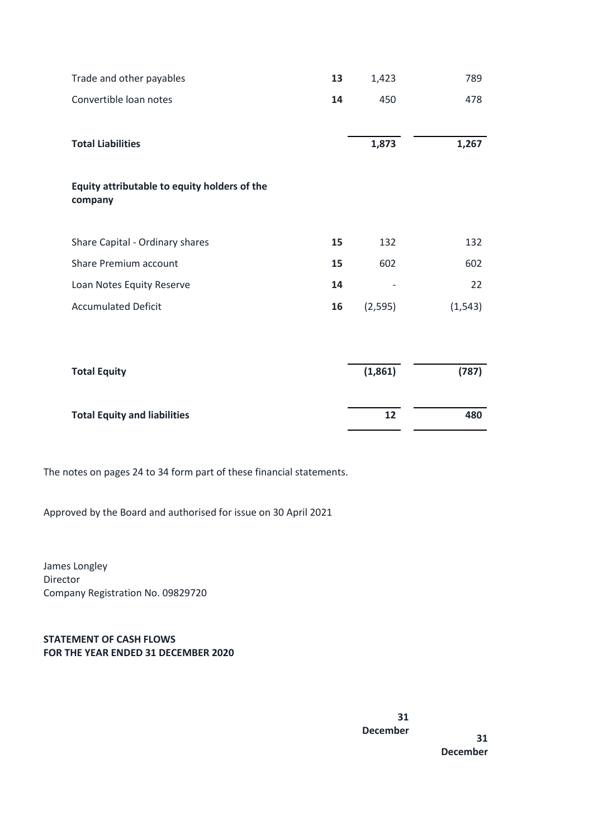| Trade and other payables                                | 13 | 1,423    | 789      |
|---------------------------------------------------------|----|----------|----------|
| Convertible loan notes                                  | 14 | 450      | 478      |
|                                                         |    |          |          |
| <b>Total Liabilities</b>                                |    | 1,873    | 1,267    |
|                                                         |    |          |          |
| Equity attributable to equity holders of the<br>company |    |          |          |
|                                                         |    |          |          |
| Share Capital - Ordinary shares                         | 15 | 132      | 132      |
| Share Premium account                                   | 15 | 602      | 602      |
| Loan Notes Equity Reserve                               | 14 |          | 22       |
| <b>Accumulated Deficit</b>                              | 16 | (2, 595) | (1, 543) |
|                                                         |    |          |          |
|                                                         |    |          |          |
| <b>Total Equity</b>                                     |    | (1,861)  | (787)    |
| <b>Total Equity and liabilities</b>                     |    | 12       | 480      |

The notes on pages 24 to 34 form part of these financial statements.

Approved by the Board and authorised for issue on 30 April 2021

James Longley Director Company Registration No. 09829720

**STATEMENT OF CASH FLOWS FOR THE YEAR ENDED 31 DECEMBER 2020**

> **31 December**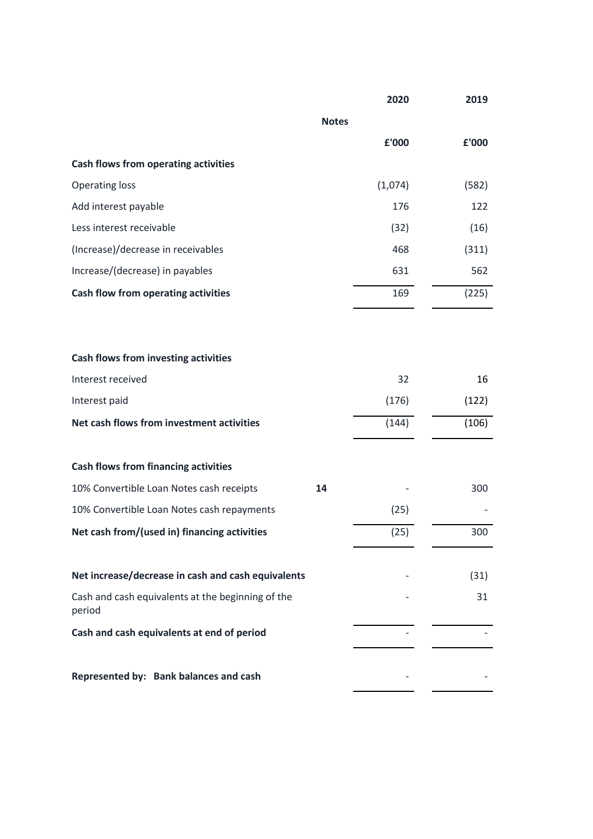|                                                             |              | 2020    | 2019  |
|-------------------------------------------------------------|--------------|---------|-------|
|                                                             | <b>Notes</b> |         |       |
|                                                             |              | £'000   | £'000 |
| <b>Cash flows from operating activities</b>                 |              |         |       |
| <b>Operating loss</b>                                       |              | (1,074) | (582) |
| Add interest payable                                        |              | 176     | 122   |
| Less interest receivable                                    |              | (32)    | (16)  |
| (Increase)/decrease in receivables                          |              | 468     | (311) |
| Increase/(decrease) in payables                             |              | 631     | 562   |
| Cash flow from operating activities                         |              | 169     | (225) |
|                                                             |              |         |       |
| <b>Cash flows from investing activities</b>                 |              |         |       |
| Interest received                                           |              | 32      | 16    |
| Interest paid                                               |              | (176)   | (122) |
| Net cash flows from investment activities                   |              | (144)   | (106) |
| <b>Cash flows from financing activities</b>                 |              |         |       |
| 10% Convertible Loan Notes cash receipts                    | 14           |         | 300   |
| 10% Convertible Loan Notes cash repayments                  |              | (25)    |       |
| Net cash from/(used in) financing activities                |              | (25)    | 300   |
| Net increase/decrease in cash and cash equivalents          |              |         | (31)  |
| Cash and cash equivalents at the beginning of the<br>period |              |         | 31    |
| Cash and cash equivalents at end of period                  |              |         |       |
| Represented by: Bank balances and cash                      |              |         |       |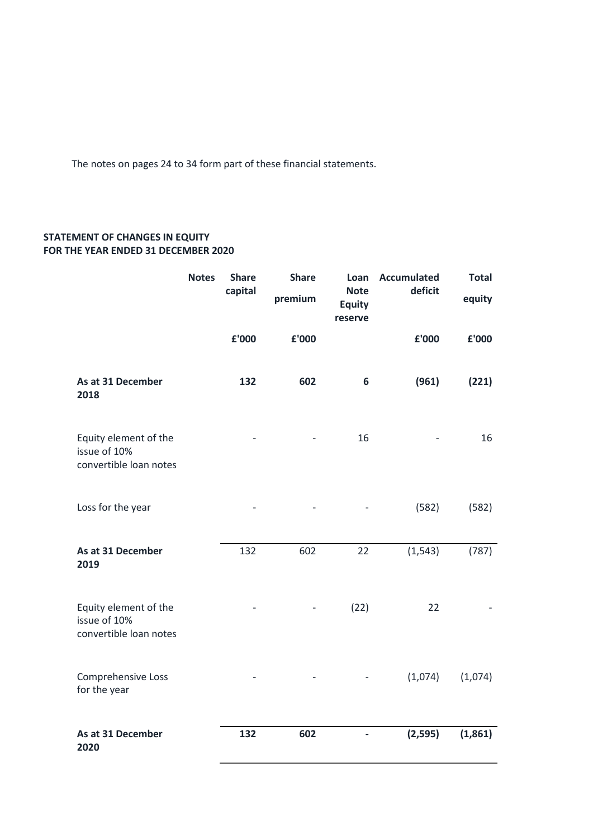The notes on pages 24 to 34 form part of these financial statements.

## **STATEMENT OF CHANGES IN EQUITY FOR THE YEAR ENDED 31 DECEMBER 2020**

|                                                                 | <b>Notes</b> | <b>Share</b><br>capital | <b>Share</b><br>premium | Loan<br><b>Note</b><br><b>Equity</b><br>reserve | <b>Accumulated</b><br>deficit | <b>Total</b><br>equity |
|-----------------------------------------------------------------|--------------|-------------------------|-------------------------|-------------------------------------------------|-------------------------------|------------------------|
|                                                                 |              | £'000                   | £'000                   |                                                 | £'000                         | £'000                  |
| As at 31 December<br>2018                                       |              | 132                     | 602                     | 6                                               | (961)                         | (221)                  |
| Equity element of the<br>issue of 10%<br>convertible loan notes |              |                         |                         | 16                                              |                               | 16                     |
| Loss for the year                                               |              |                         |                         |                                                 | (582)                         | (582)                  |
| As at 31 December<br>2019                                       |              | 132                     | 602                     | 22                                              | (1, 543)                      | (787)                  |
| Equity element of the<br>issue of 10%<br>convertible loan notes |              |                         |                         | (22)                                            | 22                            |                        |
| Comprehensive Loss<br>for the year                              |              |                         |                         |                                                 | (1,074)                       | (1,074)                |
| As at 31 December<br>2020                                       |              | 132                     | 602                     |                                                 | (2, 595)                      | (1,861)                |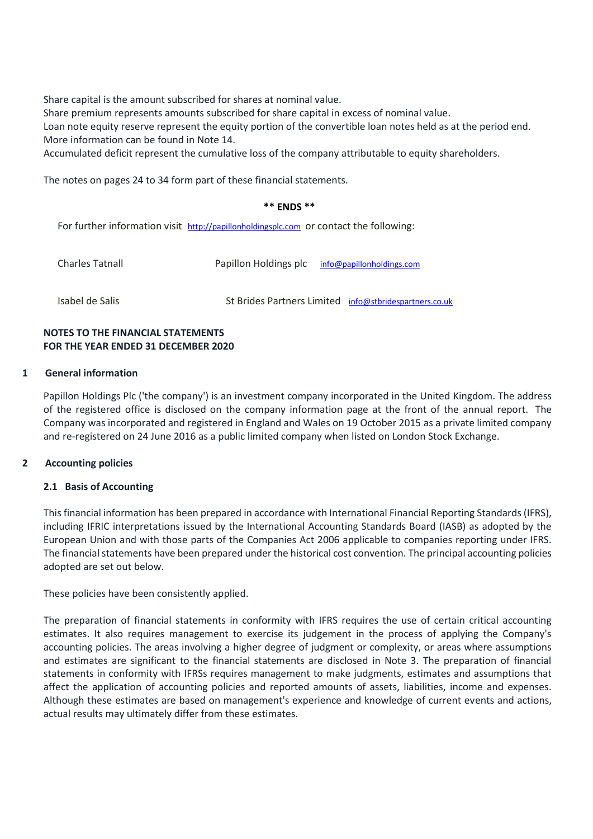Share capital is the amount subscribed for shares at nominal value.

Share premium represents amounts subscribed for share capital in excess of nominal value.

Loan note equity reserve represent the equity portion of the convertible loan notes held as at the period end. More information can be found in Note 14.

Accumulated deficit represent the cumulative loss of the company attributable to equity shareholders.

The notes on pages 24 to 34 form part of these financial statements.

#### **\*\* ENDS \*\***

For further information visit [http://papillonholdingsplc.com](http://papillonholdingsplc.com/) or contact the following:

| <b>Charles Tatnall</b> | Papillon Holdings plc info@papillonholdings.com        |
|------------------------|--------------------------------------------------------|
| Isabel de Salis        | St Brides Partners Limited info@stbridespartners.co.uk |

### **NOTES TO THE FINANCIAL STATEMENTS FOR THE YEAR ENDED 31 DECEMBER 2020**

#### **1 General information**

Papillon Holdings Plc ('the company') is an investment company incorporated in the United Kingdom. The address of the registered office is disclosed on the company information page at the front of the annual report. The Company was incorporated and registered in England and Wales on 19 October 2015 as a private limited company and re-registered on 24 June 2016 as a public limited company when listed on London Stock Exchange.

#### **2 Accounting policies**

#### **2.1 Basis of Accounting**

This financial information has been prepared in accordance with International Financial Reporting Standards (IFRS), including IFRIC interpretations issued by the International Accounting Standards Board (IASB) as adopted by the European Union and with those parts of the Companies Act 2006 applicable to companies reporting under IFRS. The financial statements have been prepared under the historical cost convention. The principal accounting policies adopted are set out below.

These policies have been consistently applied.

The preparation of financial statements in conformity with IFRS requires the use of certain critical accounting estimates. It also requires management to exercise its judgement in the process of applying the Company's accounting policies. The areas involving a higher degree of judgment or complexity, or areas where assumptions and estimates are significant to the financial statements are disclosed in Note 3. The preparation of financial statements in conformity with IFRSs requires management to make judgments, estimates and assumptions that affect the application of accounting policies and reported amounts of assets, liabilities, income and expenses. Although these estimates are based on management's experience and knowledge of current events and actions, actual results may ultimately differ from these estimates.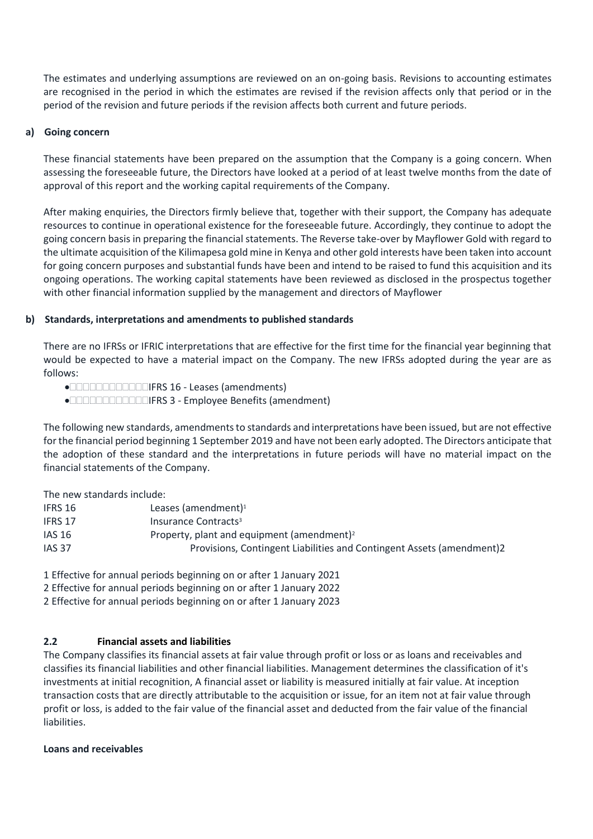The estimates and underlying assumptions are reviewed on an on-going basis. Revisions to accounting estimates are recognised in the period in which the estimates are revised if the revision affects only that period or in the period of the revision and future periods if the revision affects both current and future periods.

#### **a) Going concern**

These financial statements have been prepared on the assumption that the Company is a going concern. When assessing the foreseeable future, the Directors have looked at a period of at least twelve months from the date of approval of this report and the working capital requirements of the Company.

After making enquiries, the Directors firmly believe that, together with their support, the Company has adequate resources to continue in operational existence for the foreseeable future. Accordingly, they continue to adopt the going concern basis in preparing the financial statements. The Reverse take-over by Mayflower Gold with regard to the ultimate acquisition of the Kilimapesa gold mine in Kenya and other gold interests have been taken into account for going concern purposes and substantial funds have been and intend to be raised to fund this acquisition and its ongoing operations. The working capital statements have been reviewed as disclosed in the prospectus together with other financial information supplied by the management and directors of Mayflower

### **b) Standards, interpretations and amendments to published standards**

There are no IFRSs or IFRIC interpretations that are effective for the first time for the financial year beginning that would be expected to have a material impact on the Company. The new IFRSs adopted during the year are as follows:

●**INCOLORIGE IFRS 16 - Leases (amendments)** 

IFRS 3 - Employee Benefits (amendment)

The following new standards, amendments to standards and interpretations have been issued, but are not effective for the financial period beginning 1 September 2019 and have not been early adopted. The Directors anticipate that the adoption of these standard and the interpretations in future periods will have no material impact on the financial statements of the Company.

The new standards include:

| IFRS 16       | Leases (amendment) <sup>1</sup>                                       |
|---------------|-----------------------------------------------------------------------|
| IFRS 17       | Insurance Contracts <sup>3</sup>                                      |
| <b>IAS 16</b> | Property, plant and equipment (amendment) <sup>2</sup>                |
| <b>IAS 37</b> | Provisions, Contingent Liabilities and Contingent Assets (amendment)2 |

1 Effective for annual periods beginning on or after 1 January 2021

2 Effective for annual periods beginning on or after 1 January 2022

2 Effective for annual periods beginning on or after 1 January 2023

## **2.2 Financial assets and liabilities**

The Company classifies its financial assets at fair value through profit or loss or as loans and receivables and classifies its financial liabilities and other financial liabilities. Management determines the classification of it's investments at initial recognition, A financial asset or liability is measured initially at fair value. At inception transaction costs that are directly attributable to the acquisition or issue, for an item not at fair value through profit or loss, is added to the fair value of the financial asset and deducted from the fair value of the financial liabilities.

#### **Loans and receivables**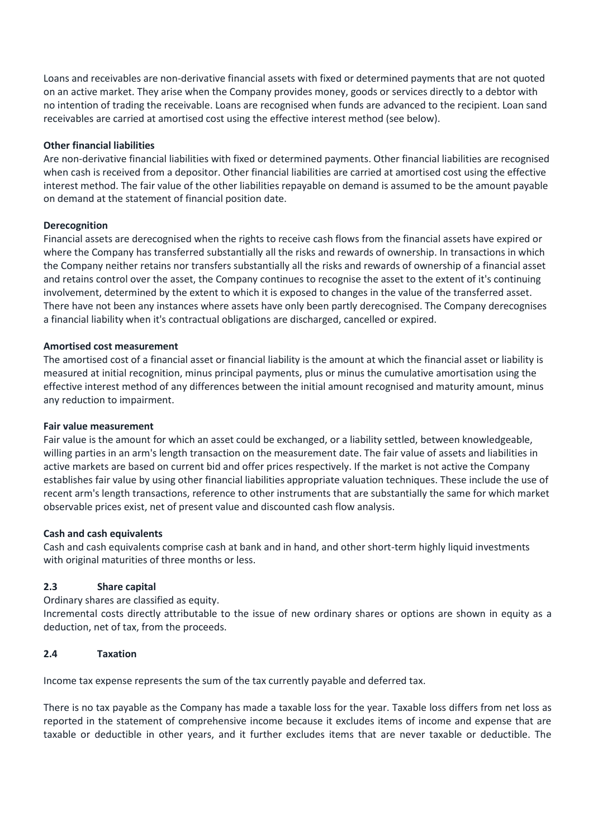Loans and receivables are non-derivative financial assets with fixed or determined payments that are not quoted on an active market. They arise when the Company provides money, goods or services directly to a debtor with no intention of trading the receivable. Loans are recognised when funds are advanced to the recipient. Loan sand receivables are carried at amortised cost using the effective interest method (see below).

#### **Other financial liabilities**

Are non-derivative financial liabilities with fixed or determined payments. Other financial liabilities are recognised when cash is received from a depositor. Other financial liabilities are carried at amortised cost using the effective interest method. The fair value of the other liabilities repayable on demand is assumed to be the amount payable on demand at the statement of financial position date.

### **Derecognition**

Financial assets are derecognised when the rights to receive cash flows from the financial assets have expired or where the Company has transferred substantially all the risks and rewards of ownership. In transactions in which the Company neither retains nor transfers substantially all the risks and rewards of ownership of a financial asset and retains control over the asset, the Company continues to recognise the asset to the extent of it's continuing involvement, determined by the extent to which it is exposed to changes in the value of the transferred asset. There have not been any instances where assets have only been partly derecognised. The Company derecognises a financial liability when it's contractual obligations are discharged, cancelled or expired.

#### **Amortised cost measurement**

The amortised cost of a financial asset or financial liability is the amount at which the financial asset or liability is measured at initial recognition, minus principal payments, plus or minus the cumulative amortisation using the effective interest method of any differences between the initial amount recognised and maturity amount, minus any reduction to impairment.

#### **Fair value measurement**

Fair value is the amount for which an asset could be exchanged, or a liability settled, between knowledgeable, willing parties in an arm's length transaction on the measurement date. The fair value of assets and liabilities in active markets are based on current bid and offer prices respectively. If the market is not active the Company establishes fair value by using other financial liabilities appropriate valuation techniques. These include the use of recent arm's length transactions, reference to other instruments that are substantially the same for which market observable prices exist, net of present value and discounted cash flow analysis.

#### **Cash and cash equivalents**

Cash and cash equivalents comprise cash at bank and in hand, and other short-term highly liquid investments with original maturities of three months or less.

## **2.3 Share capital**

Ordinary shares are classified as equity.

Incremental costs directly attributable to the issue of new ordinary shares or options are shown in equity as a deduction, net of tax, from the proceeds.

#### **2.4 Taxation**

Income tax expense represents the sum of the tax currently payable and deferred tax.

There is no tax payable as the Company has made a taxable loss for the year. Taxable loss differs from net loss as reported in the statement of comprehensive income because it excludes items of income and expense that are taxable or deductible in other years, and it further excludes items that are never taxable or deductible. The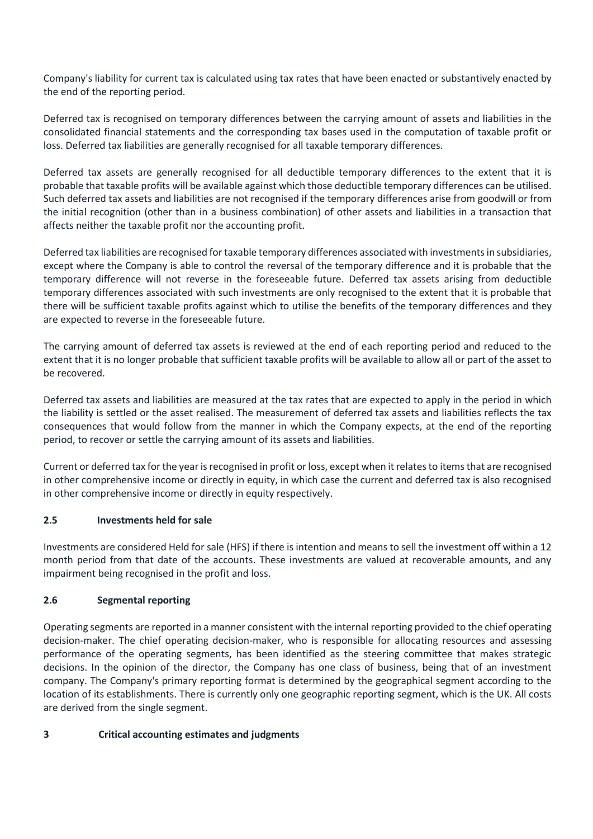Company's liability for current tax is calculated using tax rates that have been enacted or substantively enacted by the end of the reporting period.

Deferred tax is recognised on temporary differences between the carrying amount of assets and liabilities in the consolidated financial statements and the corresponding tax bases used in the computation of taxable profit or loss. Deferred tax liabilities are generally recognised for all taxable temporary differences.

Deferred tax assets are generally recognised for all deductible temporary differences to the extent that it is probable that taxable profits will be available against which those deductible temporary differences can be utilised. Such deferred tax assets and liabilities are not recognised if the temporary differences arise from goodwill or from the initial recognition (other than in a business combination) of other assets and liabilities in a transaction that affects neither the taxable profit nor the accounting profit.

Deferred tax liabilities are recognised for taxable temporary differences associated with investments in subsidiaries, except where the Company is able to control the reversal of the temporary difference and it is probable that the temporary difference will not reverse in the foreseeable future. Deferred tax assets arising from deductible temporary differences associated with such investments are only recognised to the extent that it is probable that there will be sufficient taxable profits against which to utilise the benefits of the temporary differences and they are expected to reverse in the foreseeable future.

The carrying amount of deferred tax assets is reviewed at the end of each reporting period and reduced to the extent that it is no longer probable that sufficient taxable profits will be available to allow all or part of the asset to be recovered.

Deferred tax assets and liabilities are measured at the tax rates that are expected to apply in the period in which the liability is settled or the asset realised. The measurement of deferred tax assets and liabilities reflects the tax consequences that would follow from the manner in which the Company expects, at the end of the reporting period, to recover or settle the carrying amount of its assets and liabilities.

Current or deferred tax for the year is recognised in profit or loss, except when it relates to items that are recognised in other comprehensive income or directly in equity, in which case the current and deferred tax is also recognised in other comprehensive income or directly in equity respectively.

## **2.5 Investments held for sale**

Investments are considered Held for sale (HFS) if there is intention and means to sell the investment off within a 12 month period from that date of the accounts. These investments are valued at recoverable amounts, and any impairment being recognised in the profit and loss.

## **2.6 Segmental reporting**

Operating segments are reported in a manner consistent with the internal reporting provided to the chief operating decision-maker. The chief operating decision-maker, who is responsible for allocating resources and assessing performance of the operating segments, has been identified as the steering committee that makes strategic decisions. In the opinion of the director, the Company has one class of business, being that of an investment company. The Company's primary reporting format is determined by the geographical segment according to the location of its establishments. There is currently only one geographic reporting segment, which is the UK. All costs are derived from the single segment.

## **3 Critical accounting estimates and judgments**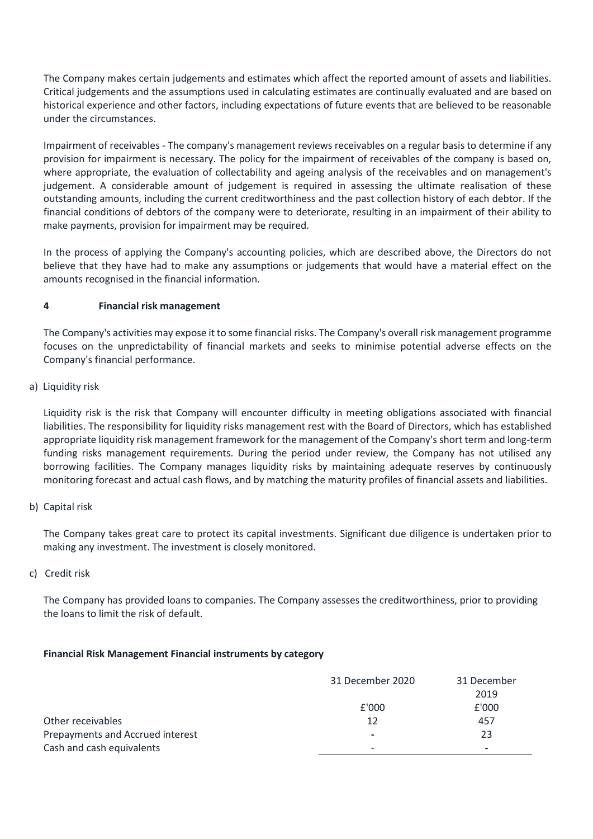The Company makes certain judgements and estimates which affect the reported amount of assets and liabilities. Critical judgements and the assumptions used in calculating estimates are continually evaluated and are based on historical experience and other factors, including expectations of future events that are believed to be reasonable under the circumstances.

Impairment of receivables - The company's management reviews receivables on a regular basis to determine if any provision for impairment is necessary. The policy for the impairment of receivables of the company is based on, where appropriate, the evaluation of collectability and ageing analysis of the receivables and on management's judgement. A considerable amount of judgement is required in assessing the ultimate realisation of these outstanding amounts, including the current creditworthiness and the past collection history of each debtor. If the financial conditions of debtors of the company were to deteriorate, resulting in an impairment of their ability to make payments, provision for impairment may be required.

In the process of applying the Company's accounting policies, which are described above, the Directors do not believe that they have had to make any assumptions or judgements that would have a material effect on the amounts recognised in the financial information.

## **4 Financial risk management**

The Company's activities may expose it to some financial risks. The Company's overall risk management programme focuses on the unpredictability of financial markets and seeks to minimise potential adverse effects on the Company's financial performance.

a) Liquidity risk

Liquidity risk is the risk that Company will encounter difficulty in meeting obligations associated with financial liabilities. The responsibility for liquidity risks management rest with the Board of Directors, which has established appropriate liquidity risk management framework for the management of the Company's short term and long-term funding risks management requirements. During the period under review, the Company has not utilised any borrowing facilities. The Company manages liquidity risks by maintaining adequate reserves by continuously monitoring forecast and actual cash flows, and by matching the maturity profiles of financial assets and liabilities.

b) Capital risk

The Company takes great care to protect its capital investments. Significant due diligence is undertaken prior to making any investment. The investment is closely monitored.

c) Credit risk

The Company has provided loans to companies. The Company assesses the creditworthiness, prior to providing the loans to limit the risk of default.

## **Financial Risk Management Financial instruments by category**

|                                  | 31 December 2020         | 31 December              |
|----------------------------------|--------------------------|--------------------------|
|                                  |                          | 2019                     |
|                                  | £'000                    | £'000                    |
| Other receivables                | 12                       | 457                      |
| Prepayments and Accrued interest | $\overline{\phantom{0}}$ | 23                       |
| Cash and cash equivalents        | $\overline{\phantom{0}}$ | $\overline{\phantom{0}}$ |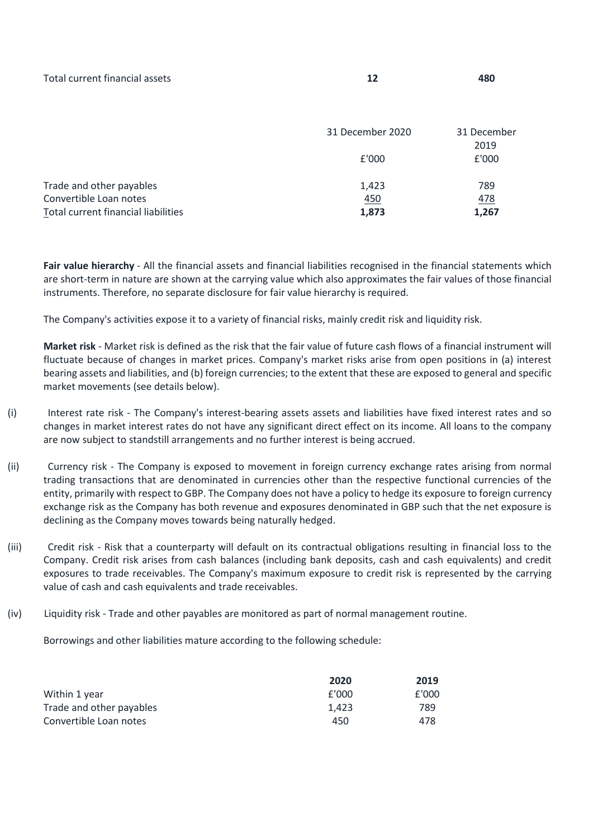| Total current financial assets |  | 480 |
|--------------------------------|--|-----|
|--------------------------------|--|-----|

|                                                               | 31 December 2020    | 31 December   |
|---------------------------------------------------------------|---------------------|---------------|
|                                                               | £'000               | 2019<br>£'000 |
| Trade and other payables                                      | 1,423               | 789           |
| Convertible Loan notes<br>Total current financial liabilities | <u>450</u><br>1,873 | 478<br>1,267  |

Fair value hierarchy - All the financial assets and financial liabilities recognised in the financial statements which are short-term in nature are shown at the carrying value which also approximates the fair values of those financial instruments. Therefore, no separate disclosure for fair value hierarchy is required.

The Company's activities expose it to a variety of financial risks, mainly credit risk and liquidity risk.

**Market risk** - Market risk is defined as the risk that the fair value of future cash flows of a financial instrument will fluctuate because of changes in market prices. Company's market risks arise from open positions in (a) interest bearing assets and liabilities, and (b) foreign currencies; to the extent that these are exposed to general and specific market movements (see details below).

- (i) Interest rate risk The Company's interest-bearing assets assets and liabilities have fixed interest rates and so changes in market interest rates do not have any significant direct effect on its income. All loans to the company are now subject to standstill arrangements and no further interest is being accrued.
- (ii) Currency risk The Company is exposed to movement in foreign currency exchange rates arising from normal trading transactions that are denominated in currencies other than the respective functional currencies of the entity, primarily with respect to GBP. The Company does not have a policy to hedge its exposure to foreign currency exchange risk as the Company has both revenue and exposures denominated in GBP such that the net exposure is declining as the Company moves towards being naturally hedged.
- (iii) Credit risk Risk that a counterparty will default on its contractual obligations resulting in financial loss to the Company. Credit risk arises from cash balances (including bank deposits, cash and cash equivalents) and credit exposures to trade receivables. The Company's maximum exposure to credit risk is represented by the carrying value of cash and cash equivalents and trade receivables.
- (iv) Liquidity risk Trade and other payables are monitored as part of normal management routine.

Borrowings and other liabilities mature according to the following schedule:

|                          | 2020  | 2019  |
|--------------------------|-------|-------|
| Within 1 year            | £'000 | £'000 |
| Trade and other payables | 1.423 | 789   |
| Convertible Loan notes   | 450   | 478   |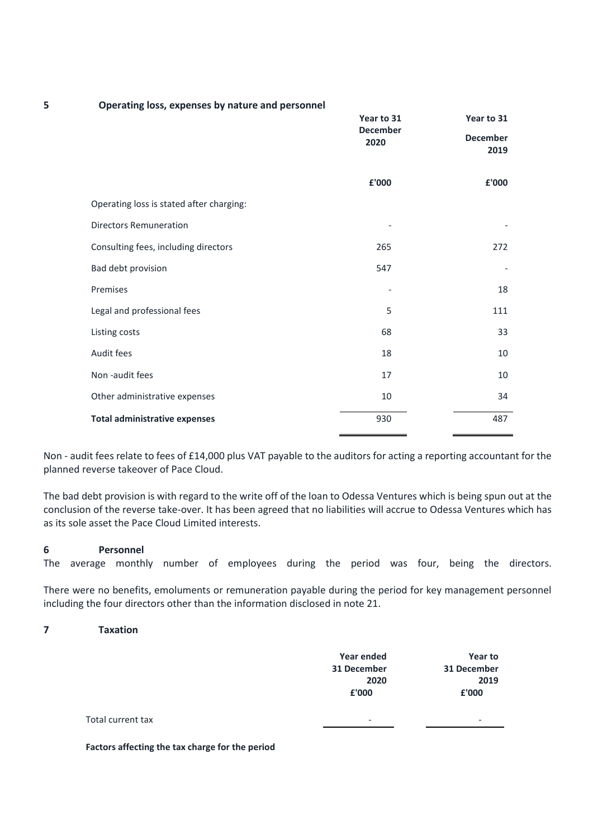| 5 | Operating loss, expenses by nature and personnel |                         |                |
|---|--------------------------------------------------|-------------------------|----------------|
|   |                                                  | Year to 31              | Year to 31     |
|   | <b>December</b><br>2020                          | <b>December</b><br>2019 |                |
|   |                                                  | £'000                   | ${\bf f}$ '000 |
|   | Operating loss is stated after charging:         |                         |                |
|   | <b>Directors Remuneration</b>                    |                         |                |
|   | Consulting fees, including directors             | 265                     | 272            |
|   | Bad debt provision                               | 547                     |                |
|   | Premises                                         |                         | 18             |
|   | Legal and professional fees                      | 5                       | 111            |
|   | Listing costs                                    | 68                      | 33             |
|   | Audit fees                                       | 18                      | 10             |
|   | Non-audit fees                                   | 17                      | 10             |
|   | Other administrative expenses                    | 10                      | 34             |
|   | <b>Total administrative expenses</b>             | 930                     | 487            |
|   |                                                  |                         |                |

Non - audit fees relate to fees of £14,000 plus VAT payable to the auditors for acting a reporting accountant for the planned reverse takeover of Pace Cloud.

The bad debt provision is with regard to the write off of the loan to Odessa Ventures which is being spun out at the conclusion of the reverse take-over. It has been agreed that no liabilities will accrue to Odessa Ventures which has as its sole asset the Pace Cloud Limited interests.

#### **6 Personnel**

The average monthly number of employees during the period was four, being the directors.

There were no benefits, emoluments or remuneration payable during the period for key management personnel including the four directors other than the information disclosed in note 21.

### **7 Taxation**

|                   | Year ended<br>31 December<br>2020<br>£'000 | Year to<br>31 December<br>2019<br>£'000 |
|-------------------|--------------------------------------------|-----------------------------------------|
| Total current tax | $\overline{\phantom{a}}$                   | $\overline{\phantom{a}}$                |

**Factors affecting the tax charge for the period**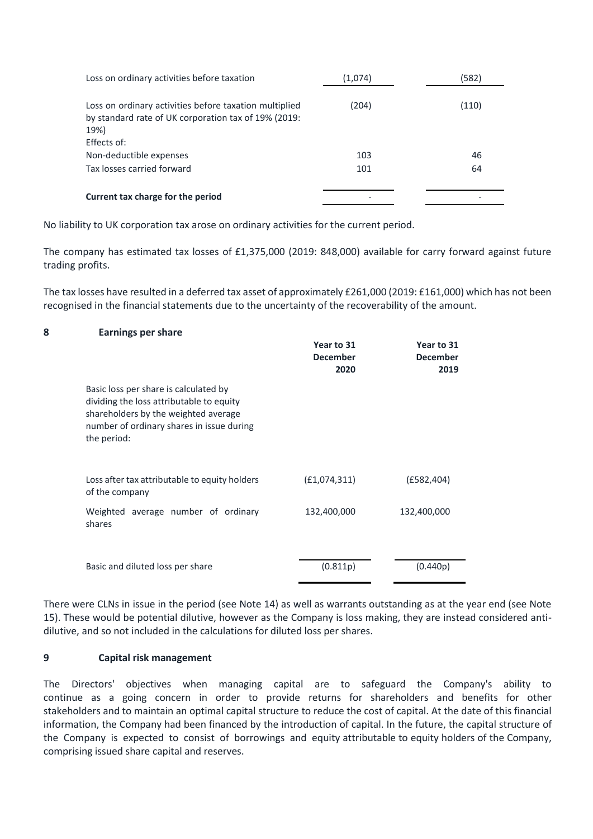| Loss on ordinary activities before taxation                                                                            | (1,074) | (582) |
|------------------------------------------------------------------------------------------------------------------------|---------|-------|
| Loss on ordinary activities before taxation multiplied<br>by standard rate of UK corporation tax of 19% (2019:<br>19%) | (204)   | (110) |
| Effects of:                                                                                                            |         |       |
| Non-deductible expenses                                                                                                | 103     | 46    |
| Tax losses carried forward                                                                                             | 101     | 64    |
| Current tax charge for the period                                                                                      |         |       |

No liability to UK corporation tax arose on ordinary activities for the current period.

The company has estimated tax losses of £1,375,000 (2019: 848,000) available for carry forward against future trading profits.

The tax losses have resulted in a deferred tax asset of approximately £261,000 (2019: £161,000) which has not been recognised in the financial statements due to the uncertainty of the recoverability of the amount.

#### **8 Earnings per share**

|                                                                                                                                                                                       | Year to 31<br><b>December</b><br>2020 | Year to 31<br><b>December</b><br>2019 |
|---------------------------------------------------------------------------------------------------------------------------------------------------------------------------------------|---------------------------------------|---------------------------------------|
| Basic loss per share is calculated by<br>dividing the loss attributable to equity<br>shareholders by the weighted average<br>number of ordinary shares in issue during<br>the period: |                                       |                                       |
| Loss after tax attributable to equity holders<br>of the company                                                                                                                       | (E1,074,311)                          | (E582, 404)                           |
| Weighted average number of ordinary<br>shares                                                                                                                                         | 132,400,000                           | 132,400,000                           |
| Basic and diluted loss per share                                                                                                                                                      | (0.811p)                              | (0.440p)                              |

There were CLNs in issue in the period (see Note 14) as well as warrants outstanding as at the year end (see Note 15). These would be potential dilutive, however as the Company is loss making, they are instead considered antidilutive, and so not included in the calculations for diluted loss per shares.

#### **9 Capital risk management**

The Directors' objectives when managing capital are to safeguard the Company's ability to continue as a going concern in order to provide returns for shareholders and benefits for other stakeholders and to maintain an optimal capital structure to reduce the cost of capital. At the date of this financial information, the Company had been financed by the introduction of capital. In the future, the capital structure of the Company is expected to consist of borrowings and equity attributable to equity holders of the Company, comprising issued share capital and reserves.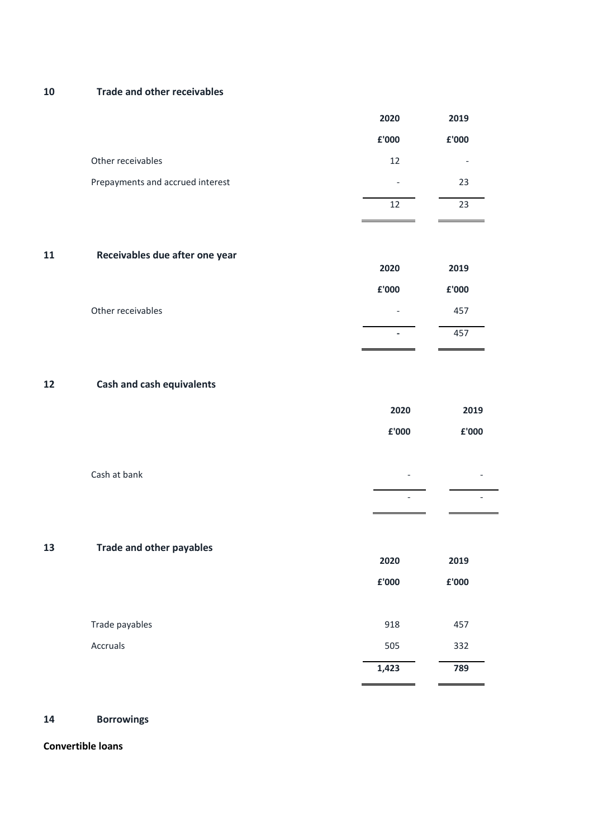**10 Trade and other receivables**

| £'000                                                            | £'000 |
|------------------------------------------------------------------|-------|
| Other receivables<br>12                                          |       |
| Prepayments and accrued interest<br>$\qquad \qquad \blacksquare$ | 23    |
| 12                                                               | 23    |

#### **11 Receivables due after one year**

|                   | 2020                     | 2019  |
|-------------------|--------------------------|-------|
|                   | £'000                    | £'000 |
| Other receivables | $\overline{\phantom{a}}$ | 457   |
|                   | ٠                        | 457   |

## **12 Cash and cash equivalents**

|              | 2020                     | 2019  |
|--------------|--------------------------|-------|
|              | £'000                    | £'000 |
|              |                          |       |
| Cash at bank | $\overline{\phantom{0}}$ | -     |

- -

## **13 Trade and other payables**

|                | 2020  | 2019  |
|----------------|-------|-------|
|                | £'000 | £'000 |
|                |       |       |
| Trade payables | 918   | 457   |
| Accruals       | 505   | 332   |
|                | 1,423 | 789   |
|                |       |       |

### **14 Borrowings**

#### **Convertible loans**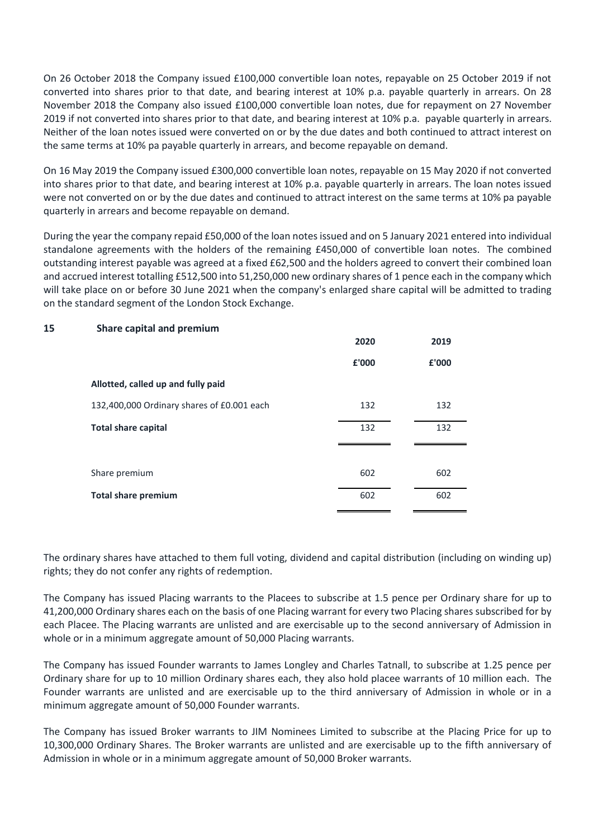On 26 October 2018 the Company issued £100,000 convertible loan notes, repayable on 25 October 2019 if not converted into shares prior to that date, and bearing interest at 10% p.a. payable quarterly in arrears. On 28 November 2018 the Company also issued £100,000 convertible loan notes, due for repayment on 27 November 2019 if not converted into shares prior to that date, and bearing interest at 10% p.a. payable quarterly in arrears. Neither of the loan notes issued were converted on or by the due dates and both continued to attract interest on the same terms at 10% pa payable quarterly in arrears, and become repayable on demand.

On 16 May 2019 the Company issued £300,000 convertible loan notes, repayable on 15 May 2020 if not converted into shares prior to that date, and bearing interest at 10% p.a. payable quarterly in arrears. The loan notes issued were not converted on or by the due dates and continued to attract interest on the same terms at 10% pa payable quarterly in arrears and become repayable on demand.

During the year the company repaid £50,000 of the loan notes issued and on 5 January 2021 entered into individual standalone agreements with the holders of the remaining £450,000 of convertible loan notes. The combined outstanding interest payable was agreed at a fixed £62,500 and the holders agreed to convert their combined loan and accrued interest totalling £512,500 into 51,250,000 new ordinary shares of 1 pence each in the company which will take place on or before 30 June 2021 when the company's enlarged share capital will be admitted to trading on the standard segment of the London Stock Exchange.

#### **15 Share capital and premium**

|                                            | 2020  | 2019  |
|--------------------------------------------|-------|-------|
|                                            | £'000 | £'000 |
| Allotted, called up and fully paid         |       |       |
| 132,400,000 Ordinary shares of £0.001 each | 132   | 132   |
| <b>Total share capital</b>                 | 132   | 132   |
|                                            |       |       |
| Share premium                              | 602   | 602   |
| <b>Total share premium</b>                 | 602   | 602   |
|                                            |       |       |

The ordinary shares have attached to them full voting, dividend and capital distribution (including on winding up) rights; they do not confer any rights of redemption.

The Company has issued Placing warrants to the Placees to subscribe at 1.5 pence per Ordinary share for up to 41,200,000 Ordinary shares each on the basis of one Placing warrant for every two Placing shares subscribed for by each Placee. The Placing warrants are unlisted and are exercisable up to the second anniversary of Admission in whole or in a minimum aggregate amount of 50,000 Placing warrants.

The Company has issued Founder warrants to James Longley and Charles Tatnall, to subscribe at 1.25 pence per Ordinary share for up to 10 million Ordinary shares each, they also hold placee warrants of 10 million each. The Founder warrants are unlisted and are exercisable up to the third anniversary of Admission in whole or in a minimum aggregate amount of 50,000 Founder warrants.

The Company has issued Broker warrants to JIM Nominees Limited to subscribe at the Placing Price for up to 10,300,000 Ordinary Shares. The Broker warrants are unlisted and are exercisable up to the fifth anniversary of Admission in whole or in a minimum aggregate amount of 50,000 Broker warrants.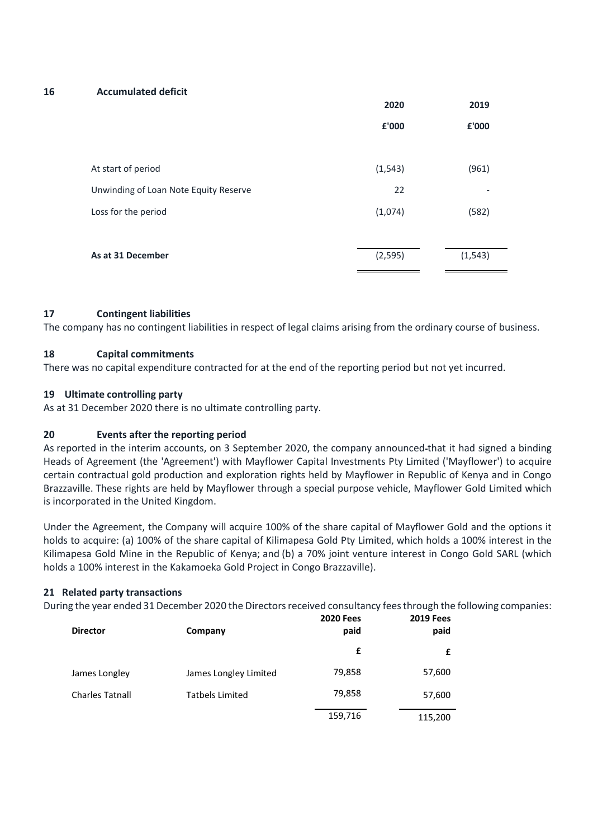#### **16 Accumulated deficit**

|                                       | 2020     | 2019     |
|---------------------------------------|----------|----------|
|                                       | £'000    | £'000    |
|                                       |          |          |
| At start of period                    | (1, 543) | (961)    |
| Unwinding of Loan Note Equity Reserve | 22       |          |
| Loss for the period                   | (1,074)  | (582)    |
|                                       |          |          |
| As at 31 December                     | (2, 595) | (1, 543) |
|                                       |          |          |

### **17 Contingent liabilities**

The company has no contingent liabilities in respect of legal claims arising from the ordinary course of business.

### **18 Capital commitments**

There was no capital expenditure contracted for at the end of the reporting period but not yet incurred.

### **19 Ultimate controlling party**

As at 31 December 2020 there is no ultimate controlling party.

## **20 Events after the reporting period**

As reported in the interim accounts, on 3 September 2020, the company announced that it had signed a binding Heads of Agreement (the 'Agreement') with Mayflower Capital Investments Pty Limited ('Mayflower') to acquire certain contractual gold production and exploration rights held by Mayflower in Republic of Kenya and in Congo Brazzaville. These rights are held by Mayflower through a special purpose vehicle, Mayflower Gold Limited which is incorporated in the United Kingdom.

Under the Agreement, the Company will acquire 100% of the share capital of Mayflower Gold and the options it holds to acquire: (a) 100% of the share capital of Kilimapesa Gold Pty Limited, which holds a 100% interest in the Kilimapesa Gold Mine in the Republic of Kenya; and (b) a 70% joint venture interest in Congo Gold SARL (which holds a 100% interest in the Kakamoeka Gold Project in Congo Brazzaville).

## **21 Related party transactions**

During the year ended 31 December 2020 the Directors received consultancy fees through the following companies:

| <b>Director</b>        | Company                | <b>2020 Fees</b><br>paid | <b>2019 Fees</b><br>paid |
|------------------------|------------------------|--------------------------|--------------------------|
|                        |                        | £                        | £                        |
| James Longley          | James Longley Limited  | 79,858                   | 57,600                   |
| <b>Charles Tatnall</b> | <b>Tatbels Limited</b> | 79,858                   | 57,600                   |
|                        |                        | 159,716                  | 115,200                  |